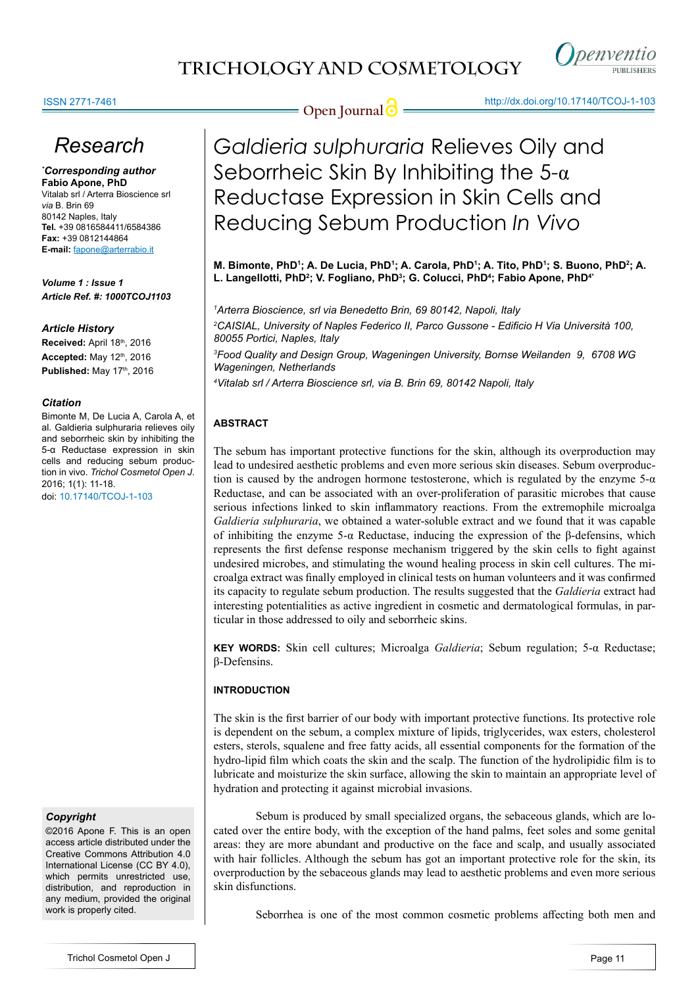

### ISSN 2771-7461

# *Research*

*\* Corresponding author* **Fabio Apone, PhD** Vitalab srl / Arterra Bioscience srl *via* B. Brin 69 80142 Naples, Italy **Tel.** +39 0816584411/6584386 **Fax:** +39 0812144864 **E-mail:** fapone@arterrabio.it

*Volume 1 : Issue 1 Article Ref. #: 1000TCOJ1103*

### *Article History*

**Received:** April 18th, 2016 **Accepted:** May 12th, 2016 **Published:** May 17th, 2016

### *Citation*

Bimonte M, De Lucia A, Carola A, et al. Galdieria sulphuraria relieves oily and seborrheic skin by inhibiting the 5-α Reductase expression in skin cells and reducing sebum production in vivo. *Trichol Cosmetol Open J*. 2016; 1(1): 11-18. doi: [10.17140/TCOJ-1-103](http://dx.doi.org/10.17140/TCOJ-1-103)

### *Copyright*

©2016 Apone F. This is an open access article distributed under the Creative Commons Attribution 4.0 International License (CC BY 4.0), which permits unrestricted use, distribution, and reproduction in any medium, provided the original work is properly cited.

**Open Journal | implicit in the intervention of the Uppen Journal | implicit in the intervention of the Uppen S** 

# *Galdieria sulphuraria* Relieves Oily and Seborrheic Skin By Inhibiting the  $5-\alpha$ Reductase Expression in Skin Cells and Reducing Sebum Production *In Vivo*

**M.** Bimonte, PhD<sup>1</sup>; A. De Lucia, PhD<sup>1</sup>; A. Carola, PhD<sup>1</sup>; A. Tito, PhD<sup>1</sup>; S. Buono, PhD<sup>2</sup>; A. **L. Langellotti, PhD2 ; V. Fogliano, PhD3 ; G. Colucci, PhD4 ; Fabio Apone, PhD4\***

*1 Arterra Bioscience, srl via Benedetto Brin, 69 80142, Napoli, Italy 2 CAISIAL, University of Naples Federico II, Parco Gussone - Edificio H Via Università 100, 80055 Portici, Naples, Italy 3 Food Quality and Design Group, Wageningen University, Bornse Weilanden 9, 6708 WG Wageningen, Netherlands* 

*4 Vitalab srl / Arterra Bioscience srl, via B. Brin 69, 80142 Napoli, Italy*

### **ABSTRACT**

The sebum has important protective functions for the skin, although its overproduction may lead to undesired aesthetic problems and even more serious skin diseases. Sebum overproduction is caused by the androgen hormone testosterone, which is regulated by the enzyme  $5-\alpha$ Reductase, and can be associated with an over-proliferation of parasitic microbes that cause serious infections linked to skin inflammatory reactions. From the extremophile microalga *Galdieria sulphuraria*, we obtained a water-soluble extract and we found that it was capable of inhibiting the enzyme 5-α Reductase, inducing the expression of the β-defensins, which represents the first defense response mechanism triggered by the skin cells to fight against undesired microbes, and stimulating the wound healing process in skin cell cultures. The microalga extract was finally employed in clinical tests on human volunteers and it was confirmed its capacity to regulate sebum production. The results suggested that the *Galdieria* extract had interesting potentialities as active ingredient in cosmetic and dermatological formulas, in particular in those addressed to oily and seborrheic skins.

**KEY WORDS:** Skin cell cultures; Microalga *Galdieria*; Sebum regulation; 5-α Reductase; β-Defensins.

### **INTRODUCTION**

The skin is the first barrier of our body with important protective functions. Its protective role is dependent on the sebum, a complex mixture of lipids, triglycerides, wax esters, cholesterol esters, sterols, squalene and free fatty acids, all essential components for the formation of the hydro-lipid film which coats the skin and the scalp. The function of the hydrolipidic film is to lubricate and moisturize the skin surface, allowing the skin to maintain an appropriate level of hydration and protecting it against microbial invasions.

Sebum is produced by small specialized organs, the sebaceous glands, which are located over the entire body, with the exception of the hand palms, feet soles and some genital areas: they are more abundant and productive on the face and scalp, and usually associated with hair follicles. Although the sebum has got an important protective role for the skin, its overproduction by the sebaceous glands may lead to aesthetic problems and even more serious skin disfunctions.

Seborrhea is one of the most common cosmetic problems affecting both men and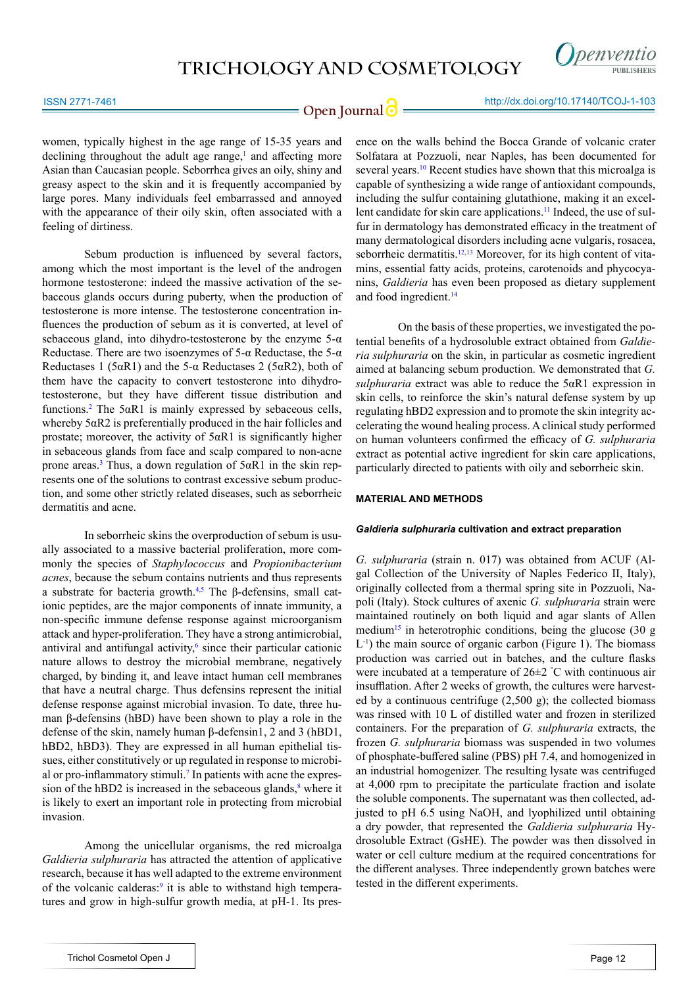

**Open Journal <b>O** <u>Commissioner (Martia)</u> http://dx.doi.org/[10.17140/TCOJ-1-103](http://dx.doi.org/10.17140/TCOJ-1-103)

women, typically highest in the age range of 15-35 years and declining throughout the adult age range, $<sup>1</sup>$  and affecting more</sup> Asian than Caucasian people. Seborrhea gives an oily, shiny and greasy aspect to the skin and it is frequently accompanied by large pores. Many individuals feel embarrassed and annoyed with the appearance of their oily skin, often associated with a feeling of dirtiness.

Sebum production is influenced by several factors, among which the most important is the level of the androgen hormone testosterone: indeed the massive activation of the sebaceous glands occurs during puberty, when the production of testosterone is more intense. The testosterone concentration influences the production of sebum as it is converted, at level of sebaceous gland, into dihydro-testosterone by the enzyme  $5-\alpha$ Reductase. There are two isoenzymes of  $5-\alpha$  Reductase, the  $5-\alpha$ Reductases 1 (5 $\alpha$ R1) and the 5- $\alpha$  Reductases 2 (5 $\alpha$ R2), both of them have the capacity to convert testosterone into dihydrotestosterone, but they have different tissue distribution and functions.<sup>[2](#page-6-1)</sup> The  $5\alpha R1$  is mainly expressed by sebaceous cells, whereby 5αR2 is preferentially produced in the hair follicles and prostate; moreover, the activity of 5αR1 is significantly higher in sebaceous glands from face and scalp compared to non-acne prone areas.<sup>[3](#page-6-2)</sup> Thus, a down regulation of  $5\alpha R1$  in the skin represents one of the solutions to contrast excessive sebum production, and some other strictly related diseases, such as seborrheic dermatitis and acne.

In seborrheic skins the overproduction of sebum is usually associated to a massive bacterial proliferation, more commonly the species of *Staphylococcus* and *Propionibacterium acnes*, because the sebum contains nutrients and thus represents a substrate for bacteria growth.<sup>[4,5](#page-6-3)</sup> The β-defensins, small cationic peptides, are the major components of innate immunity, a non-specific immune defense response against microorganism attack and hyper-proliferation. They have a strong antimicrobial, antiviral and antifungal activity, $6$  since their particular cationic nature allows to destroy the microbial membrane, negatively charged, by binding it, and leave intact human cell membranes that have a neutral charge. Thus defensins represent the initial defense response against microbial invasion. To date, three human β-defensins (hBD) have been shown to play a role in the defense of the skin, namely human β-defensin1, 2 and 3 (hBD1, hBD2, hBD3). They are expressed in all human epithelial tissues, either constitutively or up regulated in response to microbi-al or pro-inflammatory stimuli.<sup>[7](#page-6-5)</sup> In patients with acne the expression of the  $hBD2$  is increased in the sebaceous glands, $\delta$  where it is likely to exert an important role in protecting from microbial invasion.

Among the unicellular organisms, the red microalga *Galdieria sulphuraria* has attracted the attention of applicative research, because it has well adapted to the extreme environment of the volcanic calderas:<sup>9</sup> it is able to withstand high temperatures and grow in high-sulfur growth media, at pH-1. Its pres-

ence on the walls behind the Bocca Grande of volcanic crater Solfatara at Pozzuoli, near Naples, has been documented for several years.<sup>10</sup> Recent studies have shown that this microalga is capable of synthesizing a wide range of antioxidant compounds, including the sulfur containing glutathione, making it an excel-lent candidate for skin care applications.<sup>[11](#page-6-9)</sup> Indeed, the use of sulfur in dermatology has demonstrated efficacy in the treatment of many dermatological disorders including acne vulgaris, rosacea, seborrheic dermatitis.<sup>12,13</sup> Moreover, for its high content of vitamins, essential fatty acids, proteins, carotenoids and phycocyanins, *Galdieria* has even been proposed as dietary supplement and food ingredient.<sup>14</sup>

On the basis of these properties, we investigated the potential benefits of a hydrosoluble extract obtained from *Galdieria sulphuraria* on the skin, in particular as cosmetic ingredient aimed at balancing sebum production. We demonstrated that *G. sulphuraria* extract was able to reduce the 5αR1 expression in skin cells, to reinforce the skin's natural defense system by up regulating hBD2 expression and to promote the skin integrity accelerating the wound healing process. A clinical study performed on human volunteers confirmed the efficacy of *G. sulphuraria* extract as potential active ingredient for skin care applications, particularly directed to patients with oily and seborrheic skin.

### **MATERIAL AND METHODS**

### *Galdieria sulphuraria* **cultivation and extract preparation**

*G. sulphuraria* (strain n. 017) was obtained from ACUF (Algal Collection of the University of Naples Federico II, Italy), originally collected from a thermal spring site in Pozzuoli, Napoli (Italy). Stock cultures of axenic *G. sulphuraria* strain were maintained routinely on both liquid and agar slants of Allen medium<sup>15</sup> in heterotrophic conditions, being the glucose (30 g  $L^{-1}$ ) the main source of organic carbon (Figure 1). The biomass production was carried out in batches, and the culture flasks were incubated at a temperature of 26±2 ° C with continuous air insufflation. After 2 weeks of growth, the cultures were harvested by a continuous centrifuge  $(2,500 \text{ g})$ ; the collected biomass was rinsed with 10 L of distilled water and frozen in sterilized containers. For the preparation of *G. sulphuraria* extracts, the frozen *G. sulphuraria* biomass was suspended in two volumes of phosphate-buffered saline (PBS) pH 7.4, and homogenized in an industrial homogenizer. The resulting lysate was centrifuged at 4,000 rpm to precipitate the particulate fraction and isolate the soluble components. The supernatant was then collected, adjusted to pH 6.5 using NaOH, and lyophilized until obtaining a dry powder, that represented the *Galdieria sulphuraria* Hydrosoluble Extract (GsHE). The powder was then dissolved in water or cell culture medium at the required concentrations for the different analyses. Three independently grown batches were tested in the different experiments.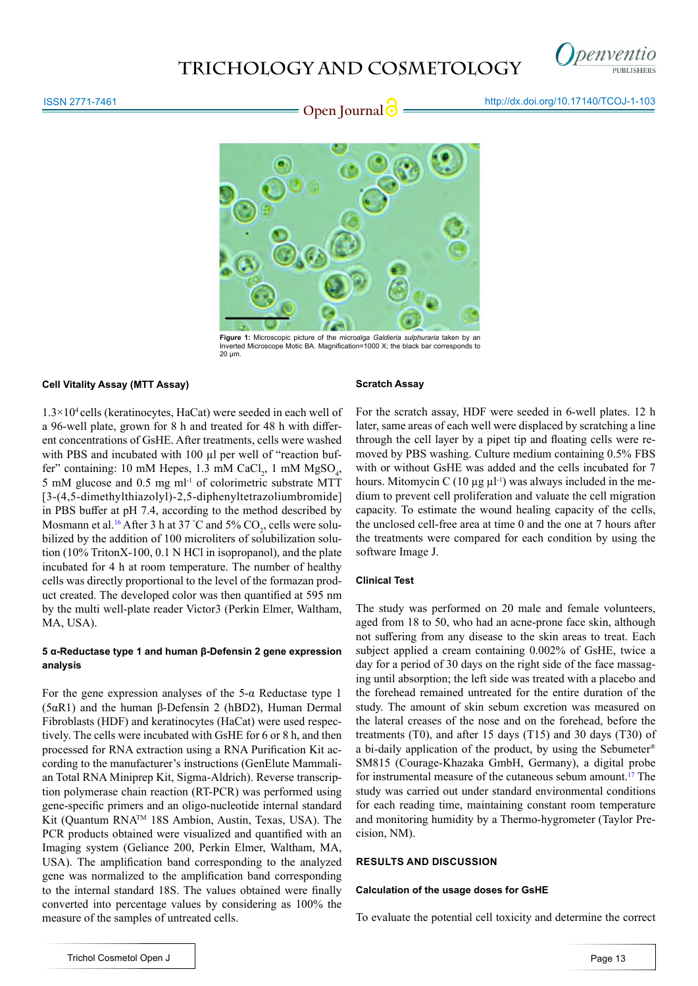



**Open Journal | http://dx.doi.org/[10.17140/TCOJ-1-103](http://dx.doi.org/10.17140/TCOJ-1-103)** 



**Figure 1:** Microscopic picture of the microalga *Galdieria sulphuraria* taken by an Inverted Microscope Motic BA. Magnification=1000 X; the black bar corresponds to 20 μm.

### **Cell Vitality Assay (MTT Assay)**

 $1.3\times10^{4}$  cells (keratinocytes, HaCat) were seeded in each well of a 96-well plate, grown for 8 h and treated for 48 h with different concentrations of GsHE. After treatments, cells were washed with PBS and incubated with 100 µl per well of "reaction buffer" containing: 10 mM Hepes, 1.3 mM CaCl<sub>2</sub>, 1 mM  $MgSO_4$ , 5 mM glucose and 0.5 mg ml-1 of colorimetric substrate MTT [3-(4,5-dimethylthiazolyl)-2,5-diphenyltetrazoliumbromide] in PBS buffer at pH 7.4, according to the method described by Mosmann et al.<sup>16</sup> After 3 h at 37 °C and 5% CO<sub>2</sub>, cells were solubilized by the addition of 100 microliters of solubilization solution (10% TritonX-100, 0.1 N HCl in isopropanol), and the plate incubated for 4 h at room temperature. The number of healthy cells was directly proportional to the level of the formazan product created. The developed color was then quantified at 595 nm by the multi well-plate reader Victor3 (Perkin Elmer, Waltham, MA, USA).

### **5 α-Reductase type 1 and human β-Defensin 2 gene expression analysis**

For the gene expression analyses of the 5-α Reductase type 1 (5αR1) and the human β-Defensin 2 (hBD2), Human Dermal Fibroblasts (HDF) and keratinocytes (HaCat) were used respectively. The cells were incubated with GsHE for 6 or 8 h, and then processed for RNA extraction using a RNA Purification Kit according to the manufacturer's instructions (GenElute Mammalian Total RNA Miniprep Kit, Sigma-Aldrich). Reverse transcription polymerase chain reaction (RT-PCR) was performed using gene-specific primers and an oligo-nucleotide internal standard Kit (Quantum RNATM 18S Ambion, Austin, Texas, USA). The PCR products obtained were visualized and quantified with an Imaging system (Geliance 200, Perkin Elmer, Waltham, MA, USA). The amplification band corresponding to the analyzed gene was normalized to the amplification band corresponding to the internal standard 18S. The values obtained were finally converted into percentage values by considering as 100% the measure of the samples of untreated cells.

#### **Scratch Assay**

For the scratch assay, HDF were seeded in 6-well plates. 12 h later, same areas of each well were displaced by scratching a line through the cell layer by a pipet tip and floating cells were removed by PBS washing. Culture medium containing 0.5% FBS with or without GsHE was added and the cells incubated for 7 hours. Mitomycin C (10  $\mu$ g  $\mu$ l<sup>-1</sup>) was always included in the medium to prevent cell proliferation and valuate the cell migration capacity. To estimate the wound healing capacity of the cells, the unclosed cell-free area at time 0 and the one at 7 hours after the treatments were compared for each condition by using the software Image J.

### **Clinical Test**

The study was performed on 20 male and female volunteers, aged from 18 to 50, who had an acne-prone face skin, although not suffering from any disease to the skin areas to treat. Each subject applied a cream containing 0.002% of GsHE, twice a day for a period of 30 days on the right side of the face massaging until absorption; the left side was treated with a placebo and the forehead remained untreated for the entire duration of the study. The amount of skin sebum excretion was measured on the lateral creases of the nose and on the forehead, before the treatments (T0), and after 15 days (T15) and 30 days (T30) of a bi-daily application of the product, by using the Sebumeter® SM815 (Courage-Khazaka GmbH, Germany), a digital probe for instrumental measure of the cutaneous sebum amount.<sup>[17](#page-6-13)</sup> The study was carried out under standard environmental conditions for each reading time, maintaining constant room temperature and monitoring humidity by a Thermo-hygrometer (Taylor Precision, NM).

### **RESULTS AND DISCUSSION**

#### **Calculation of the usage doses for GsHE**

To evaluate the potential cell toxicity and determine the correct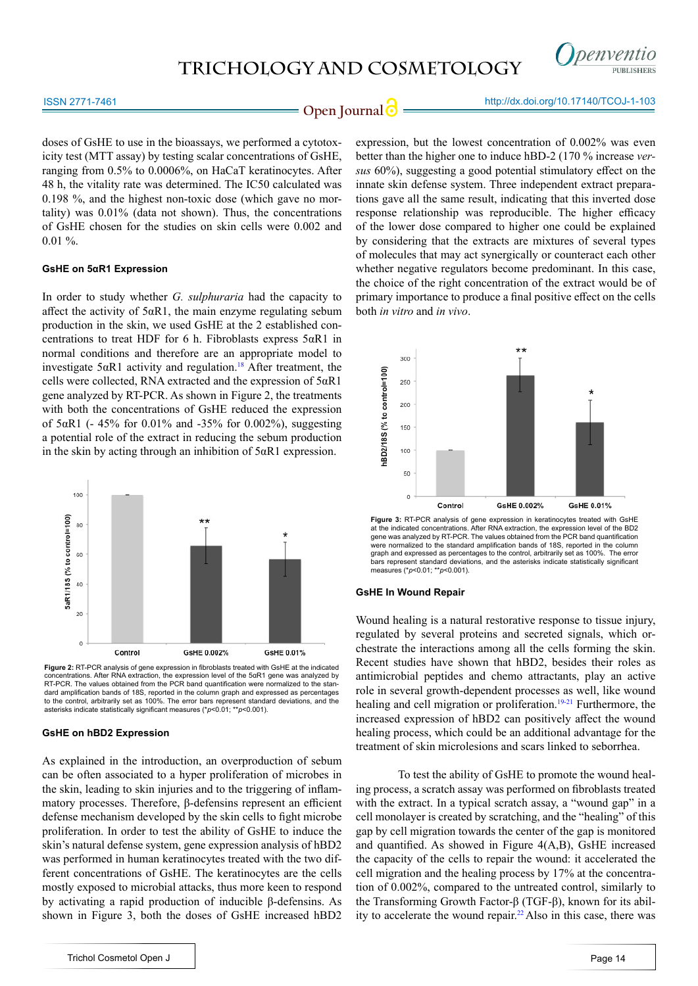

#### ISSN 2771-7461

**Open Journal determined to the intervention of the MCO determined to Den Journal determined to the intervention of the Open Journal determined to the intervention of the MCO determined to Den Journal determined to the int** 

doses of GsHE to use in the bioassays, we performed a cytotoxicity test (MTT assay) by testing scalar concentrations of GsHE, ranging from 0.5% to 0.0006%, on HaCaT keratinocytes. After 48 h, the vitality rate was determined. The IC50 calculated was 0.198 %, and the highest non-toxic dose (which gave no mortality) was 0.01% (data not shown). Thus, the concentrations of GsHE chosen for the studies on skin cells were 0.002 and 0.01 %.

#### **GsHE on 5αR1 Expression**

In order to study whether *G. sulphuraria* had the capacity to affect the activity of  $5\alpha R1$ , the main enzyme regulating sebum production in the skin, we used GsHE at the 2 established concentrations to treat HDF for 6 h. Fibroblasts express 5αR1 in normal conditions and therefore are an appropriate model to investigate  $5\alpha R1$  activity and regulation.<sup>[18](#page-6-14)</sup> After treatment, the cells were collected, RNA extracted and the expression of 5αR1 gene analyzed by RT-PCR. As shown in Figure 2, the treatments with both the concentrations of GsHE reduced the expression of 5αR1 (- 45% for 0.01% and -35% for 0.002%), suggesting a potential role of the extract in reducing the sebum production in the skin by acting through an inhibition of  $5\alpha R1$  expression.



**Figure 2:** RT-PCR analysis of gene expression in fibroblasts treated with GsHE at the indicated concentrations. After RNA extraction, the expression level of the 5αR1 gene was analyzed by RT-PCR. The values obtained from the PCR band quantification were normalized to the standard amplification bands of 18S, reported in the column graph and expressed as percentages to the control, arbitrarily set as 100%. The error bars represent standard deviations, and the asterisks indicate statistically significant measures (\**p*<0.01; \*\**p*<0.001).

#### **GsHE on hBD2 Expression**

As explained in the introduction, an overproduction of sebum can be often associated to a hyper proliferation of microbes in the skin, leading to skin injuries and to the triggering of inflammatory processes. Therefore, β-defensins represent an efficient defense mechanism developed by the skin cells to fight microbe proliferation. In order to test the ability of GsHE to induce the skin's natural defense system, gene expression analysis of hBD2 was performed in human keratinocytes treated with the two different concentrations of GsHE. The keratinocytes are the cells mostly exposed to microbial attacks, thus more keen to respond by activating a rapid production of inducible β-defensins. As shown in Figure 3, both the doses of GsHE increased hBD2

expression, but the lowest concentration of 0.002% was even better than the higher one to induce hBD-2 (170 % increase *versus* 60%), suggesting a good potential stimulatory effect on the innate skin defense system. Three independent extract preparations gave all the same result, indicating that this inverted dose response relationship was reproducible. The higher efficacy of the lower dose compared to higher one could be explained by considering that the extracts are mixtures of several types of molecules that may act synergically or counteract each other whether negative regulators become predominant. In this case, the choice of the right concentration of the extract would be of primary importance to produce a final positive effect on the cells both *in vitro* and *in vivo*.



**Figure 3:** RT-PCR analysis of gene expression in keratinocytes treated with GsHE at the indicated concentrations. After RNA extraction, the expression level of the BD2 gene was analyzed by RT-PCR. The values obtained from the PCR band quantification were normalized to the standard amplification bands of 18S, reported in the column graph and expressed as percentages to the control, arbitrarily set as 100%. The error bars represent standard deviations, and the asterisks indicate statistically significant measures (\**p*<0.01; \*\**p*<0.001).

### **GsHE In Wound Repair**

Wound healing is a natural restorative response to tissue injury, regulated by several proteins and secreted signals, which orchestrate the interactions among all the cells forming the skin. Recent studies have shown that hBD2, besides their roles as antimicrobial peptides and chemo attractants, play an active role in several growth-dependent processes as well, like wound healing and cell migration or proliferation.<sup>[19-21](#page-6-15)</sup> Furthermore, the increased expression of hBD2 can positively affect the wound healing process, which could be an additional advantage for the treatment of skin microlesions and scars linked to seborrhea.

To test the ability of GsHE to promote the wound healing process, a scratch assay was performed on fibroblasts treated with the extract. In a typical scratch assay, a "wound gap" in a cell monolayer is created by scratching, and the "healing" of this gap by cell migration towards the center of the gap is monitored and quantified. As showed in Figure 4(A,B), GsHE increased the capacity of the cells to repair the wound: it accelerated the cell migration and the healing process by 17% at the concentration of 0.002%, compared to the untreated control, similarly to the Transforming Growth Factor-β (TGF-β), known for its abil-ity to accelerate the wound repair.<sup>[22](#page-6-16)</sup> Also in this case, there was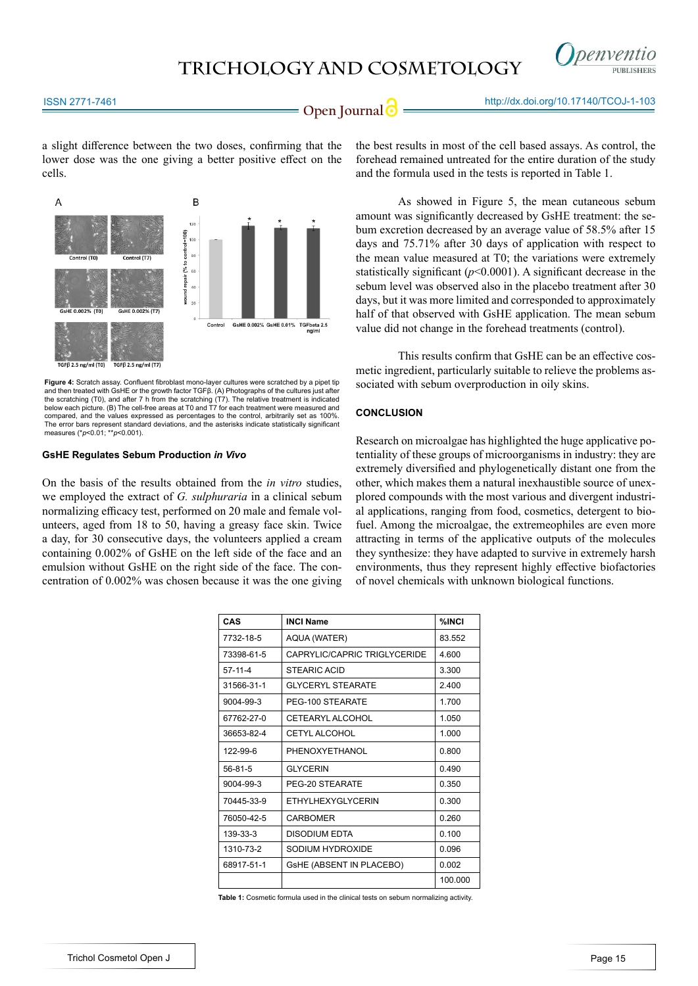

**Open Journal C** 100 million http://dx.doi.org/[10.17140/TCOJ-1-103](http://dx.doi.org/10.17140/TCOJ-1-103)

a slight difference between the two doses, confirming that the lower dose was the one giving a better positive effect on the cells.



**Figure 4:** Scratch assay. Confluent fibroblast mono-layer cultures were scratched by a pipet tip and then treated with GsHE or the growth factor TGFβ. (A) Photographs of the cultures just after the scratching (T0), and after 7 h from the scratching (T7). The relative treatment is indicated below each picture. (B) The cell-free areas at T0 and T7 for each treatment were measured and compared, and the values expressed as percentages to the control, arbitrarily set as 100%. The error bars represent standard deviations, and the asterisks indicate statistically significant measures (\**p*<0.01; \*\**p*<0.001).

### **GsHE Regulates Sebum Production** *in Vivo*

On the basis of the results obtained from the *in vitro* studies, we employed the extract of *G. sulphuraria* in a clinical sebum normalizing efficacy test, performed on 20 male and female volunteers, aged from 18 to 50, having a greasy face skin. Twice a day, for 30 consecutive days, the volunteers applied a cream containing 0.002% of GsHE on the left side of the face and an emulsion without GsHE on the right side of the face. The concentration of 0.002% was chosen because it was the one giving

the best results in most of the cell based assays. As control, the forehead remained untreated for the entire duration of the study and the formula used in the tests is reported in Table 1.

As showed in Figure 5, the mean cutaneous sebum amount was significantly decreased by GsHE treatment: the sebum excretion decreased by an average value of 58.5% after 15 days and 75.71% after 30 days of application with respect to the mean value measured at T0; the variations were extremely statistically significant  $(p<0.0001)$ . A significant decrease in the sebum level was observed also in the placebo treatment after 30 days, but it was more limited and corresponded to approximately half of that observed with GsHE application. The mean sebum value did not change in the forehead treatments (control).

This results confirm that GsHE can be an effective cosmetic ingredient, particularly suitable to relieve the problems associated with sebum overproduction in oily skins.

### **CONCLUSION**

Research on microalgae has highlighted the huge applicative potentiality of these groups of microorganisms in industry: they are extremely diversified and phylogenetically distant one from the other, which makes them a natural inexhaustible source of unexplored compounds with the most various and divergent industrial applications, ranging from food, cosmetics, detergent to biofuel. Among the microalgae, the extremeophiles are even more attracting in terms of the applicative outputs of the molecules they synthesize: they have adapted to survive in extremely harsh environments, thus they represent highly effective biofactories of novel chemicals with unknown biological functions.

| CAS        | <b>INCI Name</b>             | %INCI   |
|------------|------------------------------|---------|
| 7732-18-5  | AQUA (WATER)                 | 83.552  |
| 73398-61-5 | CAPRYLIC/CAPRIC TRIGLYCERIDE | 4.600   |
| $57-11-4$  | STEARIC ACID                 | 3.300   |
| 31566-31-1 | <b>GLYCERYL STEARATE</b>     | 2.400   |
| 9004-99-3  | PEG-100 STEARATE             | 1.700   |
| 67762-27-0 | CETEARYL ALCOHOL             | 1.050   |
| 36653-82-4 | CETYL ALCOHOL                | 1.000   |
| 122-99-6   | PHENOXYETHANOL               | 0.800   |
| 56-81-5    | <b>GLYCERIN</b>              | 0.490   |
| 9004-99-3  | PEG-20 STEARATE              | 0.350   |
| 70445-33-9 | FTHYLHEXYGLYCERIN            | 0.300   |
| 76050-42-5 | <b>CARBOMER</b>              | 0.260   |
| 139-33-3   | <b>DISODIUM EDTA</b>         | 0.100   |
| 1310-73-2  | SODIUM HYDROXIDE             | 0.096   |
| 68917-51-1 | GSHE (ABSENT IN PLACEBO)     | 0.002   |
|            |                              | 100.000 |

**Table 1:** Cosmetic formula used in the clinical tests on sebum normalizing activity.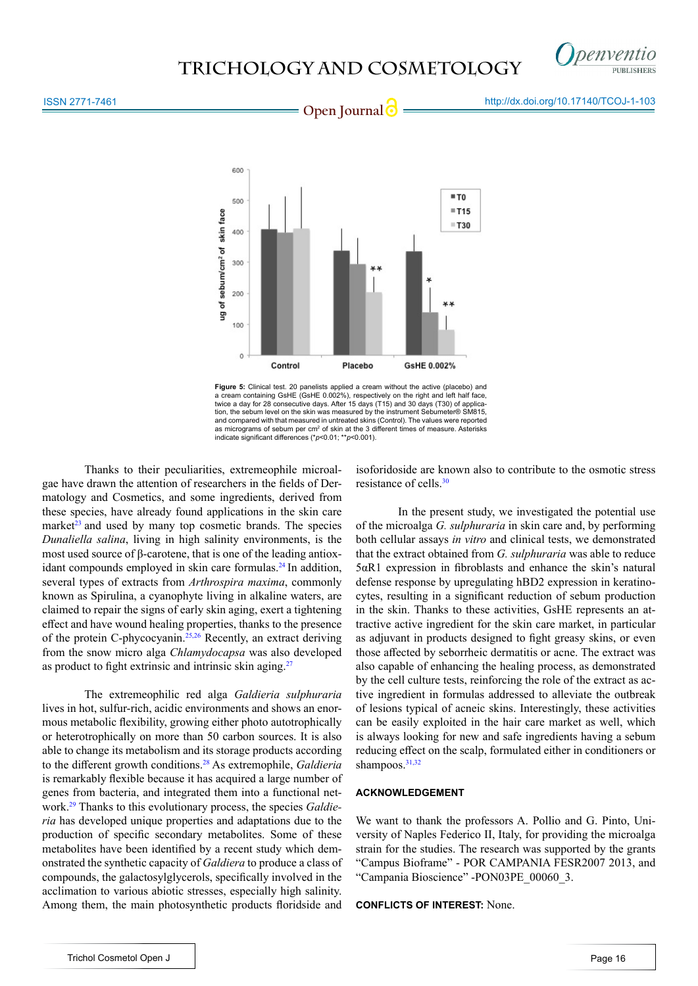

### ISSN 2771-7461

**Open Journal | http://dx.doi.org/[10.17140/TCOJ-1-103](http://dx.doi.org/10.17140/TCOJ-1-103)** 



**Figure 5:** Clinical test. 20 panelists applied a cream without the active (placebo) and a cream containing GsHE (GsHE 0.002%), respectively on the right and left half face, twice a day for 28 consecutive days. After 15 days (T15) and 30 days (T30) of application, the sebum level on the skin was measured by the instrument Sebumeter® SM815, and compared with that measured in untreated skins (Control). The values were reported as micrograms of sebum per cm<sup>2</sup> of skin at the 3 different times of measure. Asterisks<br>indicate significant differences (\**p*<0.01; \*\**p*<0.001).

Thanks to their peculiarities, extremeophile microalgae have drawn the attention of researchers in the fields of Dermatology and Cosmetics, and some ingredients, derived from these species, have already found applications in the skin care market<sup> $23$ </sup> and used by many top cosmetic brands. The species *Dunaliella salina*, living in high salinity environments, is the most used source of β-carotene, that is one of the leading antioxidant compounds employed in skin care formulas.<sup>24</sup> In addition, several types of extracts from *Arthrospira maxima*, commonly known as Spirulina, a cyanophyte living in alkaline waters, are claimed to repair the signs of early skin aging, exert a tightening effect and have wound healing properties, thanks to the presence of the protein C-phycocyanin.[25,26](#page-7-0) Recently, an extract deriving from the snow micro alga *Chlamydocapsa* was also developed as product to fight extrinsic and intrinsic skin aging. $27$ 

The extremeophilic red alga *Galdieria sulphuraria* lives in hot, sulfur-rich, acidic environments and shows an enormous metabolic flexibility, growing either photo autotrophically or heterotrophically on more than 50 carbon sources. It is also able to change its metabolism and its storage products according to the different growth conditions[.28](#page-7-2) As extremophile, *Galdieria* is remarkably flexible because it has acquired a large number of genes from bacteria, and integrated them into a functional network.[29](#page-7-3) Thanks to this evolutionary process, the species *Galdieria* has developed unique properties and adaptations due to the production of specific secondary metabolites. Some of these metabolites have been identified by a recent study which demonstrated the synthetic capacity of *Galdiera* to produce a class of compounds, the galactosylglycerols, specifically involved in the acclimation to various abiotic stresses, especially high salinity. Among them, the main photosynthetic products floridside and

isoforidoside are known also to contribute to the osmotic stress resistance of cells  $30$ 

In the present study, we investigated the potential use of the microalga *G. sulphuraria* in skin care and, by performing both cellular assays *in vitro* and clinical tests, we demonstrated that the extract obtained from *G. sulphuraria* was able to reduce 5αR1 expression in fibroblasts and enhance the skin's natural defense response by upregulating hBD2 expression in keratinocytes, resulting in a significant reduction of sebum production in the skin. Thanks to these activities, GsHE represents an attractive active ingredient for the skin care market, in particular as adjuvant in products designed to fight greasy skins, or even those affected by seborrheic dermatitis or acne. The extract was also capable of enhancing the healing process, as demonstrated by the cell culture tests, reinforcing the role of the extract as active ingredient in formulas addressed to alleviate the outbreak of lesions typical of acneic skins. Interestingly, these activities can be easily exploited in the hair care market as well, which is always looking for new and safe ingredients having a sebum reducing effect on the scalp, formulated either in conditioners or shampoos.<sup>[31,32](#page-7-5)</sup>

### **ACKNOWLEDGEMENT**

We want to thank the professors A. Pollio and G. Pinto, University of Naples Federico II, Italy, for providing the microalga strain for the studies. The research was supported by the grants "Campus Bioframe" - POR CAMPANIA FESR2007 2013, and "Campania Bioscience" -PON03PE\_00060\_3.

### **CONFLICTS OF INTEREST:** None.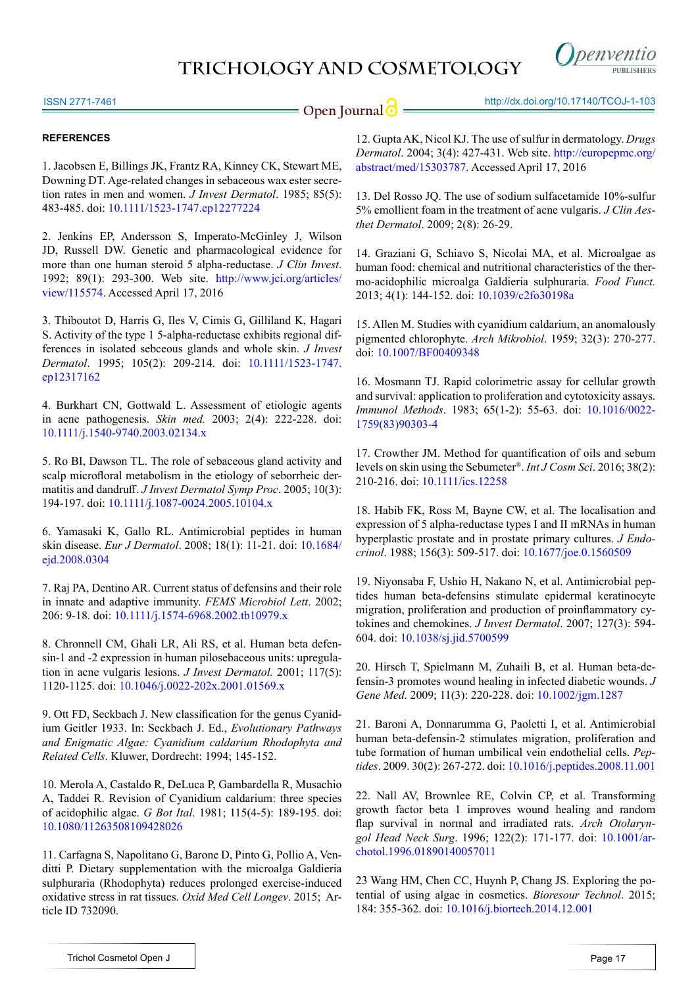

### ISSN 2771-7461

**Open Journal <b>O** <u>Commissioners</u> http://dx.doi.org/[10.17140/TCOJ-1-103](http://dx.doi.org/10.17140/TCOJ-1-103)

### **REFERENCES**

<span id="page-6-0"></span>1. Jacobsen E, Billings JK, Frantz RA, Kinney CK, Stewart ME, Downing DT. Age-related changes in sebaceous wax ester secretion rates in men and women. *J Invest Dermatol*. 1985; 85(5): 483-485. doi: [10.1111/1523-1747.ep12277224](http://www.jidonline.org/article/S0022-202X%2815%2943836-9/abstract)

<span id="page-6-1"></span>2. Jenkins EP, Andersson S, Imperato-McGinley J, Wilson JD, Russell DW. Genetic and pharmacological evidence for more than one human steroid 5 alpha-reductase. *J Clin Invest*. 1992; 89(1): 293-300. Web site. [http://www.jci.org/articles/](http://www.jci.org/articles/view/115574) [view/115574](http://www.jci.org/articles/view/115574). Accessed April 17, 2016

<span id="page-6-2"></span>3. Thiboutot D, Harris G, Iles V, Cimis G, Gilliland K, Hagari S. Activity of the type 1 5-alpha-reductase exhibits regional differences in isolated sebceous glands and whole skin. *J Invest Dermatol*. 1995; 105(2): 209-214. doi: [10.1111/1523-1747.](http://www.jidonline.org/article/S0022-202X%2815%2942279-1/abstract) [ep12317162](http://www.jidonline.org/article/S0022-202X%2815%2942279-1/abstract)

<span id="page-6-3"></span>4. [Burkhart CN,](http://www.ncbi.nlm.nih.gov/pubmed/?term=Burkhart%20CN%5BAuthor%5D&cauthor=true&cauthor_uid=14673275) [Gottwald L](http://www.ncbi.nlm.nih.gov/pubmed/?term=Gottwald%20L%5BAuthor%5D&cauthor=true&cauthor_uid=14673275). Assessment of etiologic agents in acne pathogenesis. *Skin med.* 2003; 2(4): 222-228. doi: [10.1111/j.1540-9740.2003.02134.x](http://onlinelibrary.wiley.com/doi/10.1111/j.1540-9740.2003.02134.x/abstract%3Bjsessionid%3DFE14519E0BCF9BC2F2C27883B2E61DF2.f03t04%3FsystemMessage%3DWiley%2BOnline%2BLibrary%2Bwill%2Bbe%2Bunavailable%2Bon%2BSaturday%2B14th%2BMay%2B11%253A00-14%253A00%2BBST%2B%252F%2B06%253A00-09%253A00%2BEDT%2B%252F%2B18%253A00-21%253A00%2BSGT%2Bfor%2Bessential%2Bmaintenance.Apologies%2Bfor%2Bthe%2Binconvenience.%26userIsAuthenticated%3Dfalse%26deniedAccessCustomisedMessage%3D)

5. [Ro BI,](http://www.ncbi.nlm.nih.gov/pubmed/?term=Ro%20BI%5BAuthor%5D&cauthor=true&cauthor_uid=16382662) [Dawson TL](http://www.ncbi.nlm.nih.gov/pubmed/?term=Dawson%20TL%5BAuthor%5D&cauthor=true&cauthor_uid=16382662). The role of sebaceous gland activity and scalp microfloral metabolism in the etiology of seborrheic dermatitis and dandruff. *J Invest Dermatol Symp Proc*. 2005; 10(3): 194-197. doi: [10.1111/j.1087-0024.2005.10104.x](http://www.jidsponline.org/article/S0022-202X%2815%2952586-4/abstract)

<span id="page-6-4"></span>6. Yamasaki K, Gallo RL. Antimicrobial peptides in human skin disease. *Eur J Dermatol*. 2008; 18(1): 11-21. doi: [10.1684/](http://www.jle.com/fr/revues/ejd/e-docs/antimicrobial_peptides_in_human_skin_disease_276541/article.phtml) [ejd.2008.0304](http://www.jle.com/fr/revues/ejd/e-docs/antimicrobial_peptides_in_human_skin_disease_276541/article.phtml)

<span id="page-6-5"></span>7. Raj PA, Dentino AR. Current status of defensins and their role in innate and adaptive immunity. *FEMS Microbiol Lett*. 2002; 206: 9-18. doi: [10.1111/j.1574-6968.2002.tb10979.x](http://femsle.oxfordjournals.org/content/206/1/9.long)

<span id="page-6-6"></span>8. Chronnell CM, Ghali LR, Ali RS, et al. Human beta defensin-1 and -2 expression in human pilosebaceous units: upregulation in acne vulgaris lesions. *J Invest Dermatol.* 2001; 117(5): 1120-1125. doi: [10.1046/j.0022-202x.2001.01569.x](http://www.jidonline.org/article/S0022-202X%2815%2941430-7/abstract)

<span id="page-6-7"></span>9. Ott FD, Seckbach J. New classification for the genus Cyanidium Geitler 1933. In: Seckbach J. Ed., *Evolutionary Pathways and Enigmatic Algae: Cyanidium caldarium Rhodophyta and Related Cells*. Kluwer, Dordrecht: 1994; 145-152.

<span id="page-6-8"></span>10. Merola A, Castaldo R, DeLuca P, Gambardella R, Musachio A, Taddei R. Revision of Cyanidium caldarium: three species of acidophilic algae. *G Bot Ital*. 1981; 115(4-5): 189-195. doi: [10.1080/11263508109428026](http://www.tandfonline.com/doi/abs/10.1080/11263508109428026)

<span id="page-6-9"></span>11. [Carfagna S,](http://www.ncbi.nlm.nih.gov/pubmed/?term=Carfagna%20S%5BAuthor%5D&cauthor=true&cauthor_uid=25874021) [Napolitano G](http://www.ncbi.nlm.nih.gov/pubmed/?term=Napolitano%20G%5BAuthor%5D&cauthor=true&cauthor_uid=25874021), [Barone D,](http://www.ncbi.nlm.nih.gov/pubmed/?term=Barone%20D%5BAuthor%5D&cauthor=true&cauthor_uid=25874021) [Pinto G,](http://www.ncbi.nlm.nih.gov/pubmed/?term=Pinto%20G%5BAuthor%5D&cauthor=true&cauthor_uid=25874021) Pollio A, [Ven](http://www.ncbi.nlm.nih.gov/pubmed/?term=Venditti%20P%5BAuthor%5D&cauthor=true&cauthor_uid=25874021)[ditti P.](http://www.ncbi.nlm.nih.gov/pubmed/?term=Venditti%20P%5BAuthor%5D&cauthor=true&cauthor_uid=25874021) Dietary supplementation with the microalga Galdieria sulphuraria (Rhodophyta) reduces prolonged exercise-induced oxidative stress in rat tissues. *Oxid Med Cell Longev*. 2015; Article ID 732090.

12. Gupta AK, Nicol KJ. The use of sulfur in dermatology. *Drugs Dermatol*. 2004; 3(4): 427-431. Web site. [http://europepmc.org/](http://europepmc.org/abstract/med/15303787) [abstract/med/15303787](http://europepmc.org/abstract/med/15303787). Accessed April 17, 2016

13. Del Rosso JQ. The use of sodium sulfacetamide 10%-sulfur 5% emollient foam in the treatment of acne vulgaris. *J Clin Aesthet Dermatol*. 2009; 2(8): 26-29.

<span id="page-6-10"></span>14. Graziani G, Schiavo S, Nicolai MA, et al. Microalgae as human food: chemical and nutritional characteristics of the thermo-acidophilic microalga Galdieria sulphuraria. *Food Funct.* 2013; 4(1): 144-152. doi: [10.1039/c2fo30198a](http://pubs.rsc.org/en/Content/ArticleLanding/2013/FO/C2FO30198A%23%21divAbstract)

<span id="page-6-11"></span>15. Allen M. Studies with cyanidium caldarium, an anomalously pigmented chlorophyte. *Arch Mikrobiol*. 1959; 32(3): 270-277. doi: [10.1007/BF00409348](http://link.springer.com/article/10.1007/BF00409348)

<span id="page-6-12"></span>16. Mosmann TJ. Rapid colorimetric assay for cellular growth and survival: application to proliferation and cytotoxicity assays. *Immunol Methods*. 1983; 65(1-2): 55-63. doi: [10.1016/0022-](http://www.sciencedirect.com/science/article/pii/0022175983903034) [1759\(83\)90303-4](http://www.sciencedirect.com/science/article/pii/0022175983903034)

<span id="page-6-13"></span>17. Crowther JM. Method for quantification of oils and sebum levels on skin using the Sebumeter®. *Int J Cosm Sci*. 2016; 38(2): 210-216. doi: [10.1111/ics.12258](http://onlinelibrary.wiley.com/doi/10.1111/ics.12258/abstract%3FsystemMessage%3DWiley%2BOnline%2BLibrary%2Bwill%2Bbe%2Bunavailable%2Bon%2BSaturday%2B14th%2BMay%2B11%253A00-14%253A00%2BBST%2B%252F%2B06%253A00-09%253A00%2BEDT%2B%252F%2B18%253A00-21%253A00%2BSGT%2Bfor%2Bessential%2Bmaintenance.Apologies%2Bfor%2Bthe%2Binconvenience)

<span id="page-6-14"></span>18. Habib FK, Ross M, Bayne CW, et al. The localisation and expression of 5 alpha-reductase types I and II mRNAs in human hyperplastic prostate and in prostate primary cultures. *J Endocrinol*. 1988; 156(3): 509-517. doi: [10.1677/joe.0.1560509](http://joe.endocrinology-journals.org/content/156/3/509.long)

<span id="page-6-15"></span>19. Niyonsaba F, Ushio H, Nakano N, et al. Antimicrobial peptides human beta-defensins stimulate epidermal keratinocyte migration, proliferation and production of proinflammatory cytokines and chemokines. *J Invest Dermatol*. 2007; 127(3): 594- 604. doi: [10.1038/sj.jid.5700599](http://www.jidonline.org/article/S0022-202X%2815%2933277-2/abstract)

20. Hirsch T, Spielmann M, Zuhaili B, et al. Human beta-defensin-3 promotes wound healing in infected diabetic wounds. *J Gene Med*. 2009; 11(3): 220-228. doi: [10.1002/jgm.1287](http://onlinelibrary.wiley.com/doi/10.1002/jgm.1287/abstract%3FsystemMessage%3DWiley%2BOnline%2BLibrary%2Bwill%2Bbe%2Bunavailable%2Bon%2BSaturday%2B14th%2BMay%2B11%253A00-14%253A00%2BBST%2B%252F%2B06%253A00-09%253A00%2BEDT%2B%252F%2B18%253A00-21%253A00%2BSGT%2Bfor%2Bessential%2Bmaintenance.Apologies%2Bfor%2Bthe%2Binconvenience.%26userIsAuthenticated%3Dfalse%26deniedAccessCustomisedMessage%3D)

21. Baroni A, Donnarumma G, Paoletti I, et al. Antimicrobial human beta-defensin-2 stimulates migration, proliferation and tube formation of human umbilical vein endothelial cells. *Peptides*. 2009. 30(2): 267-272. doi: [10.1016/j.peptides.2008.11.001](http://www.sciencedirect.com/science/article/pii/S0196978108004609)

<span id="page-6-16"></span>22. [Nall AV,](http://www.ncbi.nlm.nih.gov/pubmed/?term=Nall%20AV%5BAuthor%5D&cauthor=true&cauthor_uid=8630211) [Brownlee RE](http://www.ncbi.nlm.nih.gov/pubmed/?term=Brownlee%20RE%5BAuthor%5D&cauthor=true&cauthor_uid=8630211), [Colvin CP](http://www.ncbi.nlm.nih.gov/pubmed/?term=Colvin%20CP%5BAuthor%5D&cauthor=true&cauthor_uid=8630211), et al. Transforming growth factor beta 1 improves wound healing and random flap survival in normal and irradiated rats. *Arch Otolaryngol Head Neck Surg*. 1996; 122(2): 171-177. doi: [10.1001/ar](http://archotol.jamanetwork.com/article.aspx%3Farticleid%3D623286)[chotol.1996.01890140057011](http://archotol.jamanetwork.com/article.aspx%3Farticleid%3D623286)

<span id="page-6-17"></span>23 Wang HM, Chen CC, Huynh P, Chang JS. Exploring the potential of using algae in cosmetics. *Bioresour Technol*. 2015; 184: 355-362. doi: [10.1016/j.biortech.2014.12.001](http://www.sciencedirect.com/science/article/pii/S0960852414017350)